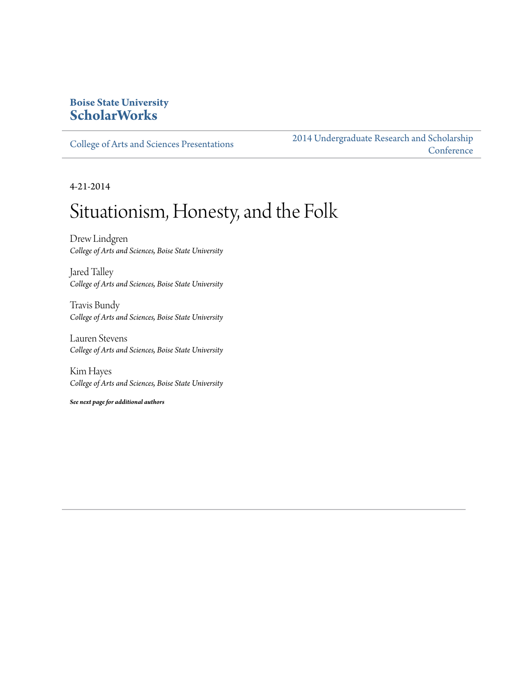#### **Boise State University [ScholarWorks](http://scholarworks.boisestate.edu)**

[College of Arts and Sciences Presentations](http://scholarworks.boisestate.edu/as_14)

[2014 Undergraduate Research and Scholarship](http://scholarworks.boisestate.edu/2014_under_conf) **[Conference](http://scholarworks.boisestate.edu/2014_under_conf)** 

4-21-2014

#### Situationism, Honesty, and the Folk

Drew Lindgren *College of Arts and Sciences, Boise State University*

Jared Talley *College of Arts and Sciences, Boise State University*

Travis Bundy *College of Arts and Sciences, Boise State University*

Lauren Stevens *College of Arts and Sciences, Boise State University*

Kim Hayes *College of Arts and Sciences, Boise State University*

*See next page for additional authors*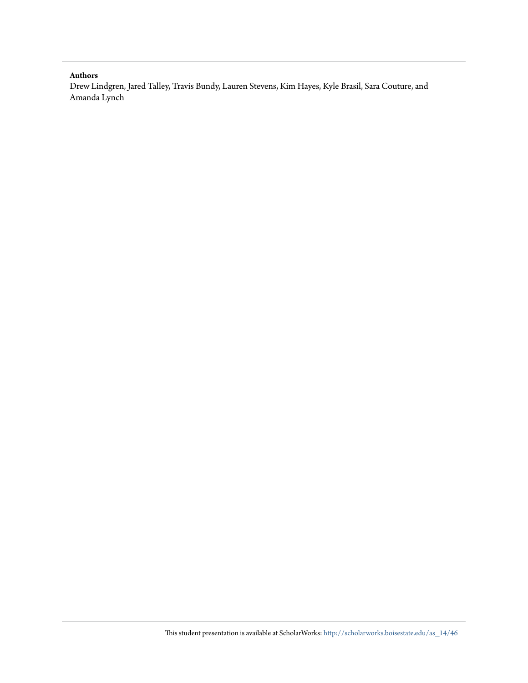#### **Authors**

Drew Lindgren, Jared Talley, Travis Bundy, Lauren Stevens, Kim Hayes, Kyle Brasil, Sara Couture, and Amanda Lynch